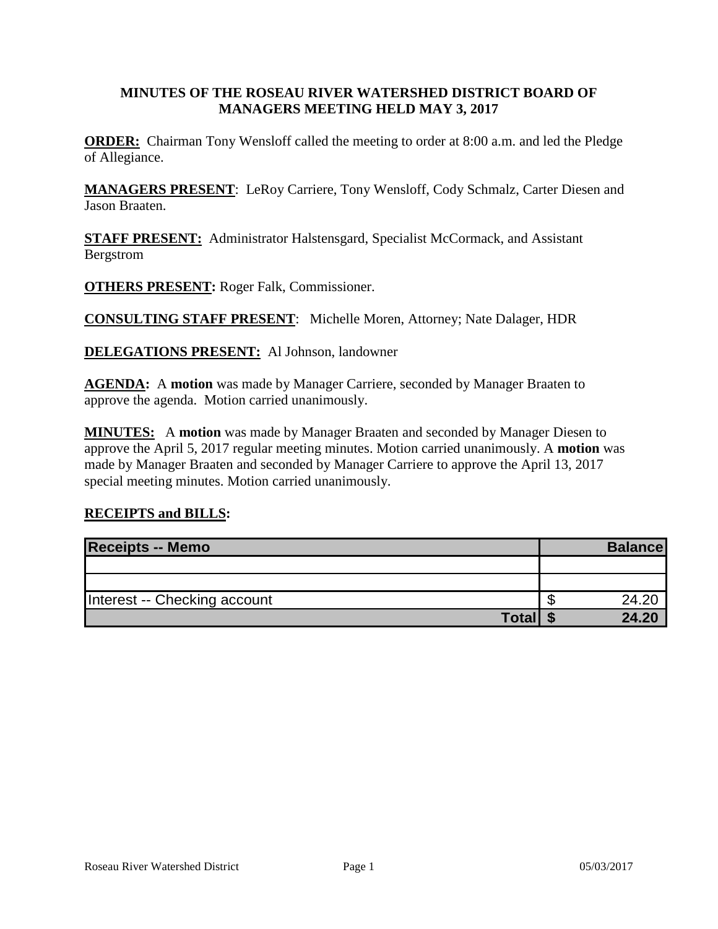### **MINUTES OF THE ROSEAU RIVER WATERSHED DISTRICT BOARD OF MANAGERS MEETING HELD MAY 3, 2017**

**ORDER:** Chairman Tony Wensloff called the meeting to order at 8:00 a.m. and led the Pledge of Allegiance.

**MANAGERS PRESENT**: LeRoy Carriere, Tony Wensloff, Cody Schmalz, Carter Diesen and Jason Braaten.

**STAFF PRESENT:** Administrator Halstensgard, Specialist McCormack, and Assistant Bergstrom

**OTHERS PRESENT:** Roger Falk, Commissioner.

**CONSULTING STAFF PRESENT**: Michelle Moren, Attorney; Nate Dalager, HDR

**DELEGATIONS PRESENT:** Al Johnson, landowner

**AGENDA:** A **motion** was made by Manager Carriere, seconded by Manager Braaten to approve the agenda. Motion carried unanimously.

**MINUTES:** A **motion** was made by Manager Braaten and seconded by Manager Diesen to approve the April 5, 2017 regular meeting minutes. Motion carried unanimously. A **motion** was made by Manager Braaten and seconded by Manager Carriere to approve the April 13, 2017 special meeting minutes. Motion carried unanimously.

#### **RECEIPTS and BILLS:**

| <b>Receipts -- Memo</b>      | <b>Balance</b> |
|------------------------------|----------------|
|                              |                |
|                              |                |
| Interest -- Checking account | 24.20          |
| <b>Total</b>                 | 24.20          |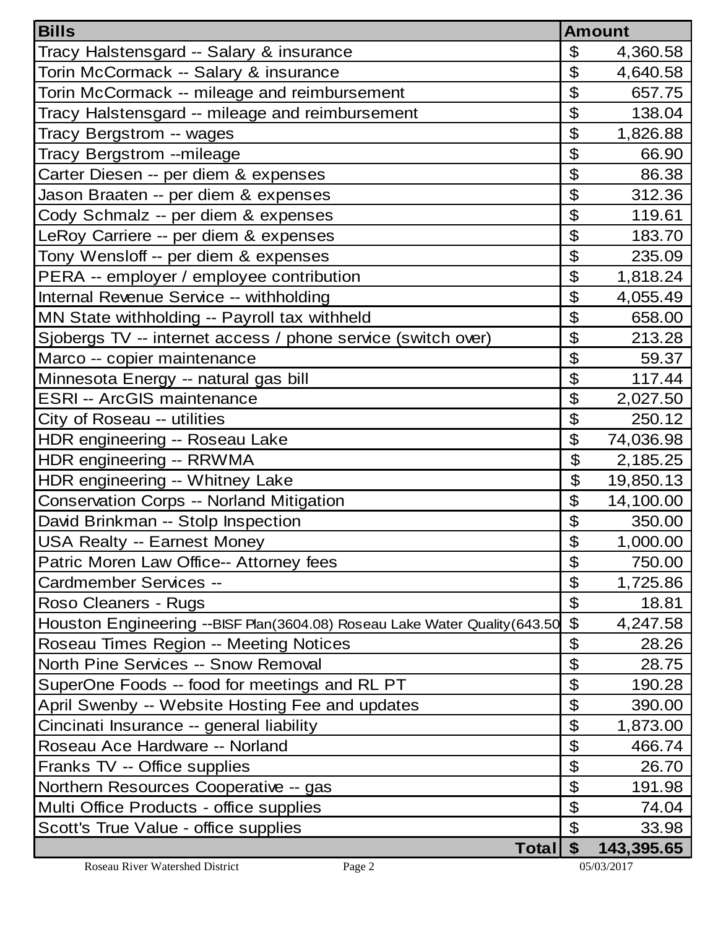| <b>Bills</b>                                                                 | <b>Amount</b>              |            |
|------------------------------------------------------------------------------|----------------------------|------------|
| Tracy Halstensgard -- Salary & insurance                                     | \$                         | 4,360.58   |
| Torin McCormack -- Salary & insurance                                        | \$                         | 4,640.58   |
| Torin McCormack -- mileage and reimbursement                                 | $\boldsymbol{\mathcal{L}}$ | 657.75     |
| Tracy Halstensgard -- mileage and reimbursement                              | $\mathfrak{P}$             | 138.04     |
| Tracy Bergstrom -- wages                                                     | $\boldsymbol{\mathcal{L}}$ | 1,826.88   |
| Tracy Bergstrom --mileage                                                    | $\boldsymbol{\mathcal{L}}$ | 66.90      |
| Carter Diesen -- per diem & expenses                                         | $\mathfrak{P}$             | 86.38      |
| Jason Braaten -- per diem & expenses                                         | $\mathfrak{P}$             | 312.36     |
| Cody Schmalz -- per diem & expenses                                          | $\boldsymbol{\mathcal{L}}$ | 119.61     |
| LeRoy Carriere -- per diem & expenses                                        | \$                         | 183.70     |
| Tony Wensloff -- per diem & expenses                                         | $\mathfrak{P}$             | 235.09     |
| PERA -- employer / employee contribution                                     | \$                         | 1,818.24   |
| Internal Revenue Service -- withholding                                      | $\boldsymbol{\mathcal{L}}$ | 4,055.49   |
| MN State withholding -- Payroll tax withheld                                 | $\mathfrak{P}$             | 658.00     |
| Sjobergs TV -- internet access / phone service (switch over)                 | $\boldsymbol{\mathcal{L}}$ | 213.28     |
| Marco -- copier maintenance                                                  | $\mathfrak{P}$             | 59.37      |
| Minnesota Energy -- natural gas bill                                         | $\boldsymbol{\mathcal{L}}$ | 117.44     |
| <b>ESRI -- ArcGIS maintenance</b>                                            | $\boldsymbol{\mathcal{L}}$ | 2,027.50   |
| City of Roseau -- utilities                                                  | \$                         | 250.12     |
| HDR engineering -- Roseau Lake                                               | $\boldsymbol{\mathcal{L}}$ | 74,036.98  |
| HDR engineering -- RRWMA                                                     | \$                         | 2,185.25   |
| HDR engineering -- Whitney Lake                                              | $\boldsymbol{\theta}$      | 19,850.13  |
| <b>Conservation Corps -- Norland Mitigation</b>                              | $\mathfrak{L}$             | 14,100.00  |
| David Brinkman -- Stolp Inspection                                           | $\boldsymbol{\mathcal{L}}$ | 350.00     |
| <b>USA Realty -- Earnest Money</b>                                           | \$                         | 1,000.00   |
| Patric Moren Law Office-- Attorney fees                                      | \$                         | 750.00     |
| Cardmember Services --                                                       | $\boldsymbol{\theta}$      | 1,725.86   |
| Roso Cleaners - Rugs                                                         | \$                         | 18.81      |
| Houston Engineering -- BISF Plan (3604.08) Roseau Lake Water Quality (643.50 | $\mathfrak{S}$             | 4,247.58   |
| Roseau Times Region -- Meeting Notices                                       | $\boldsymbol{\theta}$      | 28.26      |
| North Pine Services -- Snow Removal                                          | \$                         | 28.75      |
| SuperOne Foods -- food for meetings and RL PT                                | $\mathfrak{L}$             | 190.28     |
| April Swenby -- Website Hosting Fee and updates                              | $\boldsymbol{\mathcal{L}}$ | 390.00     |
| Cincinati Insurance -- general liability                                     | $\boldsymbol{\mathcal{L}}$ | 1,873.00   |
| Roseau Ace Hardware -- Norland                                               | \$                         | 466.74     |
| Franks TV -- Office supplies                                                 | $\mathfrak{P}$             | 26.70      |
| Northern Resources Cooperative -- gas                                        | $\boldsymbol{\mathcal{L}}$ | 191.98     |
| Multi Office Products - office supplies                                      | $\mathfrak{P}$             | 74.04      |
| Scott's True Value - office supplies                                         | $\boldsymbol{\mathcal{L}}$ | 33.98      |
| Total                                                                        | \$                         | 143,395.65 |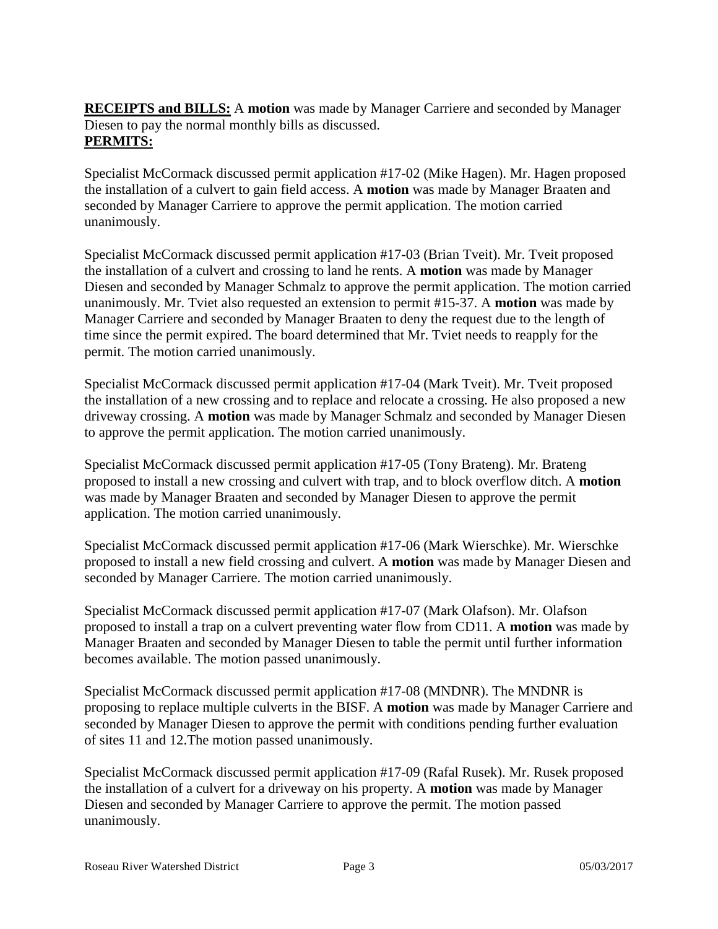**RECEIPTS and BILLS:** A **motion** was made by Manager Carriere and seconded by Manager Diesen to pay the normal monthly bills as discussed. **PERMITS:**

Specialist McCormack discussed permit application #17-02 (Mike Hagen). Mr. Hagen proposed the installation of a culvert to gain field access. A **motion** was made by Manager Braaten and seconded by Manager Carriere to approve the permit application. The motion carried unanimously.

Specialist McCormack discussed permit application #17-03 (Brian Tveit). Mr. Tveit proposed the installation of a culvert and crossing to land he rents. A **motion** was made by Manager Diesen and seconded by Manager Schmalz to approve the permit application. The motion carried unanimously. Mr. Tviet also requested an extension to permit #15-37. A **motion** was made by Manager Carriere and seconded by Manager Braaten to deny the request due to the length of time since the permit expired. The board determined that Mr. Tviet needs to reapply for the permit. The motion carried unanimously.

Specialist McCormack discussed permit application #17-04 (Mark Tveit). Mr. Tveit proposed the installation of a new crossing and to replace and relocate a crossing. He also proposed a new driveway crossing. A **motion** was made by Manager Schmalz and seconded by Manager Diesen to approve the permit application. The motion carried unanimously.

Specialist McCormack discussed permit application #17-05 (Tony Brateng). Mr. Brateng proposed to install a new crossing and culvert with trap, and to block overflow ditch. A **motion** was made by Manager Braaten and seconded by Manager Diesen to approve the permit application. The motion carried unanimously.

Specialist McCormack discussed permit application #17-06 (Mark Wierschke). Mr. Wierschke proposed to install a new field crossing and culvert. A **motion** was made by Manager Diesen and seconded by Manager Carriere. The motion carried unanimously.

Specialist McCormack discussed permit application #17-07 (Mark Olafson). Mr. Olafson proposed to install a trap on a culvert preventing water flow from CD11. A **motion** was made by Manager Braaten and seconded by Manager Diesen to table the permit until further information becomes available. The motion passed unanimously.

Specialist McCormack discussed permit application #17-08 (MNDNR). The MNDNR is proposing to replace multiple culverts in the BISF. A **motion** was made by Manager Carriere and seconded by Manager Diesen to approve the permit with conditions pending further evaluation of sites 11 and 12.The motion passed unanimously.

Specialist McCormack discussed permit application #17-09 (Rafal Rusek). Mr. Rusek proposed the installation of a culvert for a driveway on his property. A **motion** was made by Manager Diesen and seconded by Manager Carriere to approve the permit. The motion passed unanimously.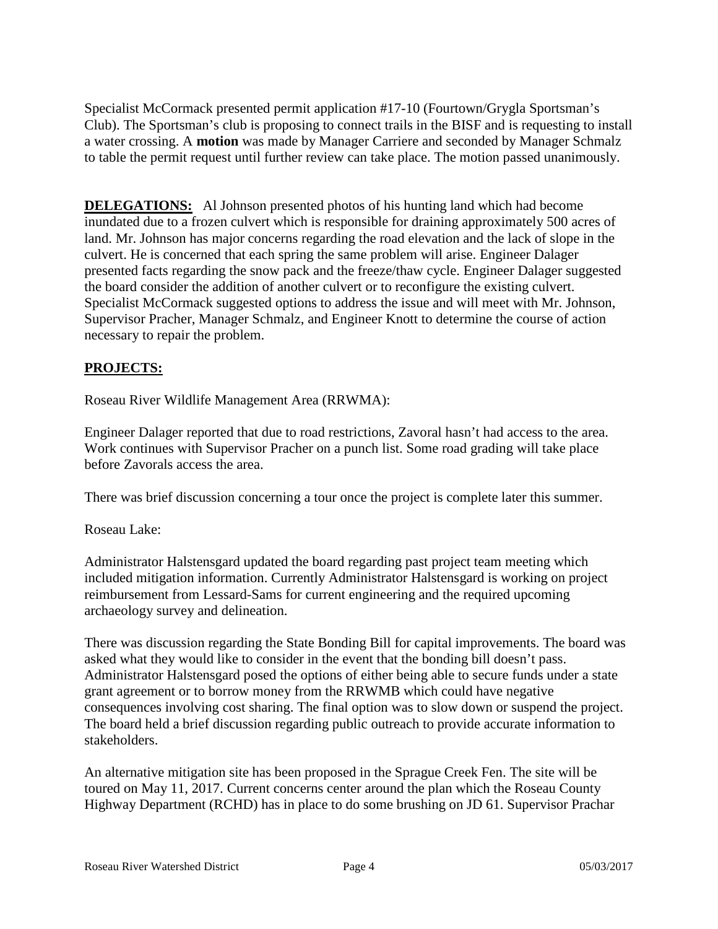Specialist McCormack presented permit application #17-10 (Fourtown/Grygla Sportsman's Club). The Sportsman's club is proposing to connect trails in the BISF and is requesting to install a water crossing. A **motion** was made by Manager Carriere and seconded by Manager Schmalz to table the permit request until further review can take place. The motion passed unanimously.

**DELEGATIONS:** Al Johnson presented photos of his hunting land which had become inundated due to a frozen culvert which is responsible for draining approximately 500 acres of land. Mr. Johnson has major concerns regarding the road elevation and the lack of slope in the culvert. He is concerned that each spring the same problem will arise. Engineer Dalager presented facts regarding the snow pack and the freeze/thaw cycle. Engineer Dalager suggested the board consider the addition of another culvert or to reconfigure the existing culvert. Specialist McCormack suggested options to address the issue and will meet with Mr. Johnson, Supervisor Pracher, Manager Schmalz, and Engineer Knott to determine the course of action necessary to repair the problem.

# **PROJECTS:**

Roseau River Wildlife Management Area (RRWMA):

Engineer Dalager reported that due to road restrictions, Zavoral hasn't had access to the area. Work continues with Supervisor Pracher on a punch list. Some road grading will take place before Zavorals access the area.

There was brief discussion concerning a tour once the project is complete later this summer.

### Roseau Lake:

Administrator Halstensgard updated the board regarding past project team meeting which included mitigation information. Currently Administrator Halstensgard is working on project reimbursement from Lessard-Sams for current engineering and the required upcoming archaeology survey and delineation.

There was discussion regarding the State Bonding Bill for capital improvements. The board was asked what they would like to consider in the event that the bonding bill doesn't pass. Administrator Halstensgard posed the options of either being able to secure funds under a state grant agreement or to borrow money from the RRWMB which could have negative consequences involving cost sharing. The final option was to slow down or suspend the project. The board held a brief discussion regarding public outreach to provide accurate information to stakeholders.

An alternative mitigation site has been proposed in the Sprague Creek Fen. The site will be toured on May 11, 2017. Current concerns center around the plan which the Roseau County Highway Department (RCHD) has in place to do some brushing on JD 61. Supervisor Prachar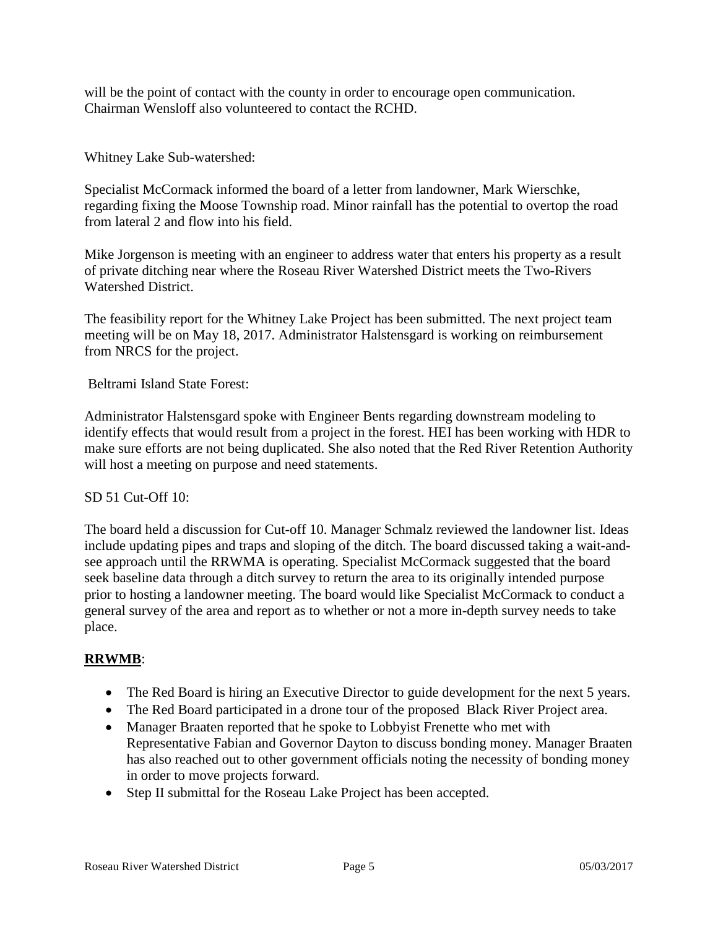will be the point of contact with the county in order to encourage open communication. Chairman Wensloff also volunteered to contact the RCHD.

Whitney Lake Sub-watershed:

Specialist McCormack informed the board of a letter from landowner, Mark Wierschke, regarding fixing the Moose Township road. Minor rainfall has the potential to overtop the road from lateral 2 and flow into his field.

Mike Jorgenson is meeting with an engineer to address water that enters his property as a result of private ditching near where the Roseau River Watershed District meets the Two-Rivers Watershed District.

The feasibility report for the Whitney Lake Project has been submitted. The next project team meeting will be on May 18, 2017. Administrator Halstensgard is working on reimbursement from NRCS for the project.

Beltrami Island State Forest:

Administrator Halstensgard spoke with Engineer Bents regarding downstream modeling to identify effects that would result from a project in the forest. HEI has been working with HDR to make sure efforts are not being duplicated. She also noted that the Red River Retention Authority will host a meeting on purpose and need statements.

### SD 51 Cut-Off 10:

The board held a discussion for Cut-off 10. Manager Schmalz reviewed the landowner list. Ideas include updating pipes and traps and sloping of the ditch. The board discussed taking a wait-andsee approach until the RRWMA is operating. Specialist McCormack suggested that the board seek baseline data through a ditch survey to return the area to its originally intended purpose prior to hosting a landowner meeting. The board would like Specialist McCormack to conduct a general survey of the area and report as to whether or not a more in-depth survey needs to take place.

### **RRWMB**:

- The Red Board is hiring an Executive Director to guide development for the next 5 years.
- The Red Board participated in a drone tour of the proposed Black River Project area.
- Manager Braaten reported that he spoke to Lobbyist Frenette who met with Representative Fabian and Governor Dayton to discuss bonding money. Manager Braaten has also reached out to other government officials noting the necessity of bonding money in order to move projects forward.
- Step II submittal for the Roseau Lake Project has been accepted.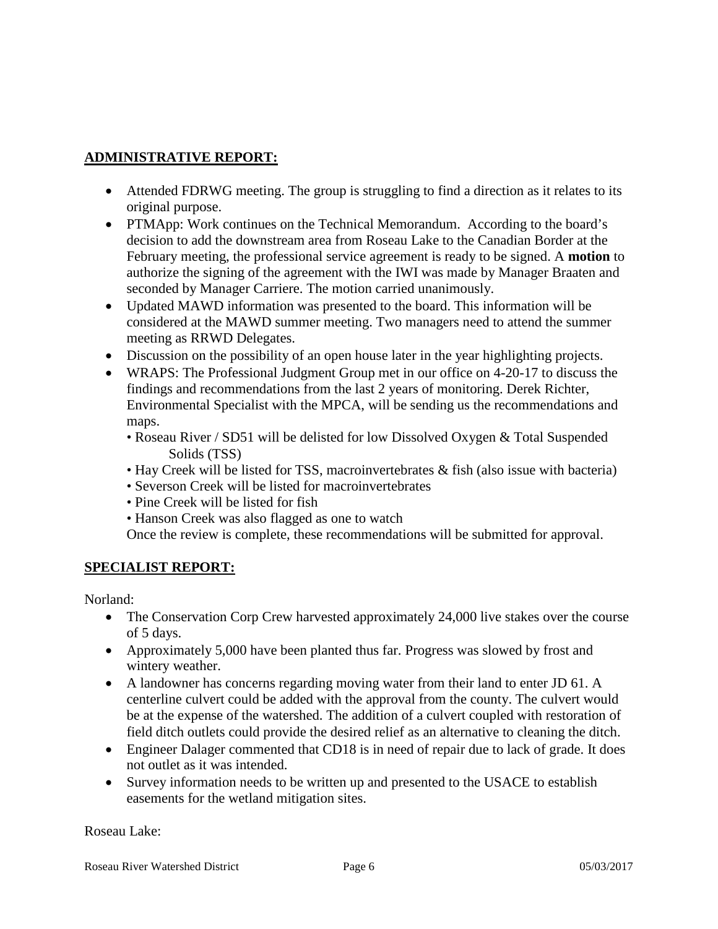# **ADMINISTRATIVE REPORT:**

- Attended FDRWG meeting. The group is struggling to find a direction as it relates to its original purpose.
- PTMApp: Work continues on the Technical Memorandum. According to the board's decision to add the downstream area from Roseau Lake to the Canadian Border at the February meeting, the professional service agreement is ready to be signed. A **motion** to authorize the signing of the agreement with the IWI was made by Manager Braaten and seconded by Manager Carriere. The motion carried unanimously.
- Updated MAWD information was presented to the board. This information will be considered at the MAWD summer meeting. Two managers need to attend the summer meeting as RRWD Delegates.
- Discussion on the possibility of an open house later in the year highlighting projects.
- WRAPS: The Professional Judgment Group met in our office on 4-20-17 to discuss the findings and recommendations from the last 2 years of monitoring. Derek Richter, Environmental Specialist with the MPCA, will be sending us the recommendations and maps.
	- Roseau River / SD51 will be delisted for low Dissolved Oxygen & Total Suspended Solids (TSS)
	- Hay Creek will be listed for TSS, macroinvertebrates & fish (also issue with bacteria)
	- Severson Creek will be listed for macroinvertebrates
	- Pine Creek will be listed for fish
	- Hanson Creek was also flagged as one to watch

Once the review is complete, these recommendations will be submitted for approval.

### **SPECIALIST REPORT:**

Norland:

- The Conservation Corp Crew harvested approximately 24,000 live stakes over the course of 5 days.
- Approximately 5,000 have been planted thus far. Progress was slowed by frost and wintery weather.
- A landowner has concerns regarding moving water from their land to enter JD 61. A centerline culvert could be added with the approval from the county. The culvert would be at the expense of the watershed. The addition of a culvert coupled with restoration of field ditch outlets could provide the desired relief as an alternative to cleaning the ditch.
- Engineer Dalager commented that CD18 is in need of repair due to lack of grade. It does not outlet as it was intended.
- Survey information needs to be written up and presented to the USACE to establish easements for the wetland mitigation sites.

Roseau Lake: